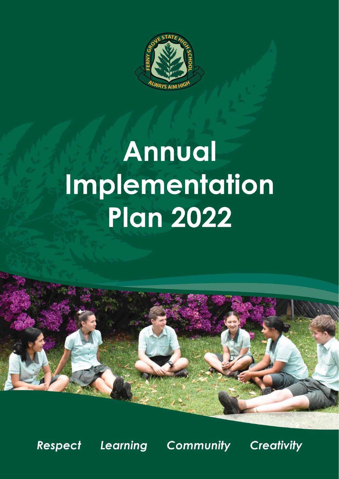

# **Annual** Implementation **Plan 2022**



Respect

**Learning Community** 

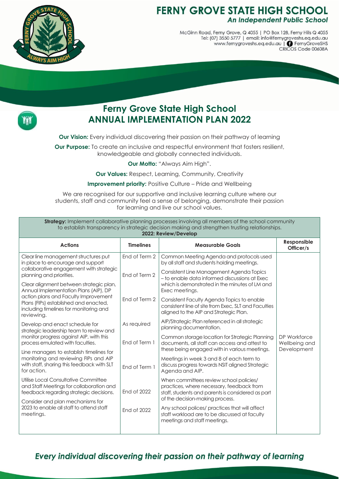

# **FERNY GROVE STATE HIGH SCHOOL** An Independent Public School

McGinn Road, Ferny Grove, Q 4055 | PO Box 128, Ferny Hills Q 4055<br>Tel: (07) 3550 5777 | email: info@fernygroveshs.eq.edu.au www.fernygroveshs.eq.edu.au | • FernyGroveSHS CRICOS Code 00608A



# **Ferny Grove State High School ANNUAL IMPLEMENTATION PLAN 2022**

**Our Vision:** Every individual discovering their passion on their pathway of learning

**Our Purpose:** To create an inclusive and respectful environment that fosters resilient, knowledgeable and globally connected individuals.

**Our Motto:** "Always Aim High".

**Our Values:** Respect, Learning, Community, Creativity

**Improvement priority:** Positive Culture – Pride and Wellbeing

We are recognised for our supportive and inclusive learning culture where our students, staff and community feel a sense of belonging, demonstrate their passion for learning and live our school values.

**Strategy:** Implement collaborative planning processes involving all members of the school community to establish transparency in strategic decision making and strengthen trusting relationships. **2022: Review/Develop**

| ZUZZ. REVIEW/DEVEIUD                                                                                                                  |                  |                                                                                                                                                  |                                              |
|---------------------------------------------------------------------------------------------------------------------------------------|------------------|--------------------------------------------------------------------------------------------------------------------------------------------------|----------------------------------------------|
| <b>Actions</b>                                                                                                                        | <b>Timelines</b> | <b>Measurable Goals</b>                                                                                                                          | Responsible<br>Officer/s                     |
| Clear line management structures put<br>in place to encourage and support                                                             | End of Term 2    | Common Meeting Agenda and protocols used<br>by all staff and students holding meetings.                                                          |                                              |
| collaborative engagement with strategic<br>planning and priorities.                                                                   | End of Term 2    | Consistent Line Management Agenda Topics<br>- to enable data informed discussions at Exec                                                        |                                              |
| Clear alignment between strategic plan,<br>Annual Implementation Plans (AIP), DP                                                      |                  | which is demonstrated in the minutes of LM and<br>Exec meetings.                                                                                 |                                              |
| action plans and Faculty Improvement<br>Plans (FIPs) established and enacted,<br>including timelines for monitoring and<br>reviewing. | End of Term 2    | Consistent Faculty Agenda Topics to enable<br>consistent line of site from Exec, SLT and Faculties<br>aligned to the AIP and Strategic Plan.     |                                              |
| Develop and enact schedule for<br>strategic leadership team to review and                                                             | As required      | AIP/Strategic Plan referenced in all strategic<br>planning documentation.                                                                        |                                              |
| monitor progress against AIP, with this<br>process emulated with faculties.                                                           | End of Term 1    | Common storage location for Strategic Planning<br>documents, all staff can access and attest to<br>these being engaged with in various meetings. | DP Workforce<br>Wellbeing and<br>Development |
| Line managers to establish timelines for                                                                                              |                  |                                                                                                                                                  |                                              |
| monitoring and reviewing FIPs and AIP<br>with staff, sharing this feedback with SLT<br>for action.                                    | End of Term 1    | Meetings in week 3 and 8 of each term to<br>discuss progress towards NSIT aligned Strategic<br>Agenda and AIP.                                   |                                              |
| Utilise Local Consultative Committee<br>and Staff Meetings for collaboration and<br>feedback regarding strategic decisions.           | End of 2022      | When committees review school policies/<br>practices, where necessary, feedback from<br>staff, students and parents is considered as part        |                                              |
| Consider and plan mechanisms for                                                                                                      |                  | of the decision-making process.                                                                                                                  |                                              |
| 2023 to enable all staff to attend staff<br>meetings.                                                                                 | End of 2022      | Any school polices/ practices that will affect<br>staff workload are to be discussed at faculty<br>meetings and staff meetings.                  |                                              |
|                                                                                                                                       |                  |                                                                                                                                                  |                                              |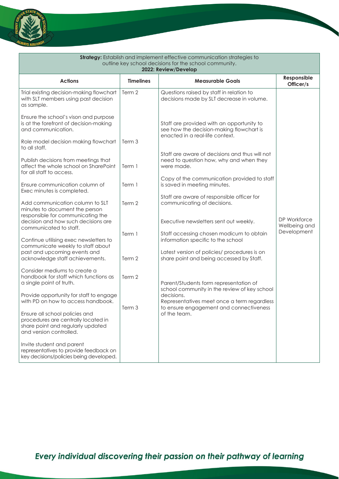

| Strategy: Establish and implement effective communication strategies to<br>outline key school decisions for the school community.     |                  |                                                                                                                          |                                              |  |  |
|---------------------------------------------------------------------------------------------------------------------------------------|------------------|--------------------------------------------------------------------------------------------------------------------------|----------------------------------------------|--|--|
|                                                                                                                                       |                  | 2022: Review/Develop                                                                                                     |                                              |  |  |
| <b>Actions</b>                                                                                                                        | <b>Timelines</b> | <b>Measurable Goals</b>                                                                                                  | Responsible<br>Officer/s                     |  |  |
| Trial existing decision-making flowchart<br>with SLT members using past decision<br>as sample.                                        | Term 2           | Questions raised by staff in relation to<br>decisions made by SLT decrease in volume.                                    |                                              |  |  |
| Ensure the school's vison and purpose<br>is at the forefront of decision-making<br>and communication.                                 |                  | Staff are provided with an opportunity to<br>see how the decision-making flowchart is<br>enacted in a real-life context. |                                              |  |  |
| Role model decision making flowchart<br>to all staff.                                                                                 | Term 3           |                                                                                                                          |                                              |  |  |
| Publish decisions from meetings that<br>affect the whole school on SharePoint<br>for all staff to access.                             | Term 1           | Staff are aware of decisions and thus will not<br>need to question how, why and when they<br>were made.                  |                                              |  |  |
| Ensure communication column of<br>Exec minutes is completed.                                                                          | Term 1           | Copy of the communication provided to staff<br>is saved in meeting minutes.                                              |                                              |  |  |
| Add communication column to SLT<br>minutes to document the person<br>responsible for communicating the                                | Term 2           | Staff are aware of responsible officer for<br>communicating of decisions.                                                |                                              |  |  |
| decision and how such decisions are<br>communicated to staff.                                                                         |                  | Executive newsletters sent out weekly.                                                                                   | DP Workforce<br>Wellbeing and<br>Development |  |  |
| Continue utilising exec newsletters to<br>communicate weekly to staff about                                                           | Term 1           | Staff accessing chosen modicum to obtain<br>information specific to the school                                           |                                              |  |  |
| past and upcoming events and<br>acknowledge staff achievements.                                                                       | Term 2           | Latest version of policies/ procedures is on<br>share point and being accessed by Staff.                                 |                                              |  |  |
| Consider mediums to create a<br>handbook for staff which functions as<br>a single point of truth.                                     | Term 2           | Parent/Students form representation of<br>school community in the review of key school                                   |                                              |  |  |
| Provide opportunity for staff to engage<br>with PD on how to access handbook.                                                         | Term 3           | decisions.<br>Representatives meet once a term regardless                                                                |                                              |  |  |
| Ensure all school policies and<br>procedures are centrally located in<br>share point and regularly updated<br>and version controlled. |                  | to ensure engagement and connectiveness<br>of the team.                                                                  |                                              |  |  |
| Invite student and parent<br>representatives to provide feedback on<br>key decisions/policies being developed.                        |                  |                                                                                                                          |                                              |  |  |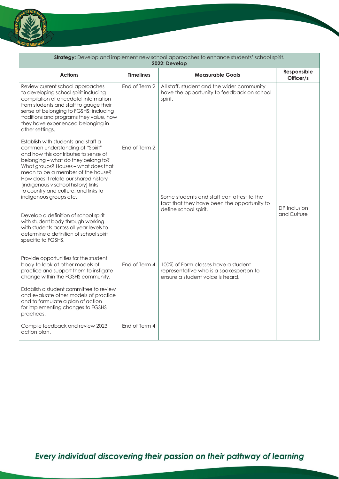

| <b>Strategy:</b> Develop and implement new school approaches to enhance students' school spirit.<br>2022: Develop                                                                                                                                                                                                                                                                                                              |                  |                                                                                                                    |                             |  |
|--------------------------------------------------------------------------------------------------------------------------------------------------------------------------------------------------------------------------------------------------------------------------------------------------------------------------------------------------------------------------------------------------------------------------------|------------------|--------------------------------------------------------------------------------------------------------------------|-----------------------------|--|
| <b>Actions</b>                                                                                                                                                                                                                                                                                                                                                                                                                 | <b>Timelines</b> | <b>Measurable Goals</b>                                                                                            | Responsible<br>Officer/s    |  |
| Review current school approaches<br>to developing school spirit including<br>compilation of anecdotal information<br>from students and staff to gauge their<br>sense of belonging to FGSHS; including<br>traditions and programs they value, how<br>they have experienced belonging in<br>other settings.                                                                                                                      | End of Term 2    | All staff, student and the wider community<br>have the opportunity to feedback on school<br>spirit.                |                             |  |
| Establish with students and staff a<br>common understanding of "Spirit"<br>and how this contributes to sense of<br>belonging - what do they belong to?<br>What groups? Houses - what does that<br>mean to be a member of the house?<br>How does it relate our shared history<br>(indigenous v school history) links<br>to country and culture, and links to<br>indigenous groups etc.<br>Develop a definition of school spirit | End of Term 2    | Some students and staff can attest to the<br>fact that they have been the opportunity to<br>define school spirit.  | DP Inclusion<br>and Culture |  |
| with student body through working<br>with students across all year levels to<br>determine a definition of school spirit<br>specific to FGSHS.<br>Provide opportunities for the student                                                                                                                                                                                                                                         |                  |                                                                                                                    |                             |  |
| body to look at other models of<br>practice and support them to instigate<br>change within the FGSHS community.                                                                                                                                                                                                                                                                                                                | End of Term 4    | 100% of Form classes have a student<br>representative who is a spokesperson to<br>ensure a student voice is heard. |                             |  |
| Establish a student committee to review<br>and evaluate other models of practice<br>and to formulate a plan of action<br>for implementing changes to FGSHS<br>practices.                                                                                                                                                                                                                                                       |                  |                                                                                                                    |                             |  |
| Compile feedback and review 2023<br>action plan.                                                                                                                                                                                                                                                                                                                                                                               | End of Term 4    |                                                                                                                    |                             |  |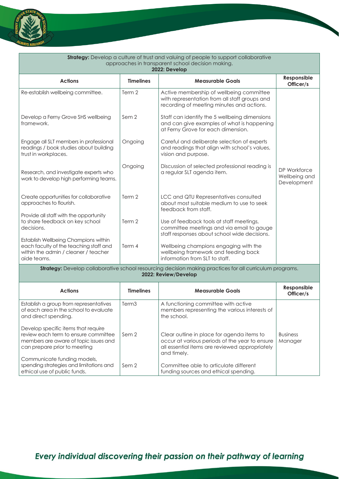

can prepare prior to meeting

ethical use of public funds.

Communicate funding models, spending strategies and limitations and

| <b>Strategy:</b> Develop a culture of trust and valuing of people to support collaborative<br>approaches in transparent school decision making.<br>2022: Develop |                   |                                                                                                                                        |                                              |  |
|------------------------------------------------------------------------------------------------------------------------------------------------------------------|-------------------|----------------------------------------------------------------------------------------------------------------------------------------|----------------------------------------------|--|
| <b>Actions</b>                                                                                                                                                   | <b>Timelines</b>  | <b>Measurable Goals</b>                                                                                                                | Responsible<br>Officer/s                     |  |
| Re-establish wellbeing committee.                                                                                                                                | Term 2            | Active membership of wellbeing committee<br>with representation from all staff groups and<br>recording of meeting minutes and actions. |                                              |  |
| Develop a Ferny Grove SHS wellbeing<br>framework.                                                                                                                | Sem 2             | Staff can identify the 5 wellbeing dimensions<br>and can give examples of what is happening<br>at Ferny Grove for each dimension.      |                                              |  |
| Engage all SLT members in professional<br>readings / book studies about building<br>trust in workplaces.                                                         | Ongoing           | Careful and deliberate selection of experts<br>and readings that align with school's values,<br>vision and purpose.                    |                                              |  |
| Research, and investigate experts who<br>work to develop high performing teams.                                                                                  | Ongoing           | Discussion of selected professional reading is<br>a regular SLT agenda item.                                                           | DP Workforce<br>Wellbeing and<br>Development |  |
| Create opportunities for collaborative<br>approaches to flourish.                                                                                                | Term 2            | LCC and QTU Representatives consulted<br>about most suitable medium to use to seek<br>feedback from staff.                             |                                              |  |
| Provide all staff with the opportunity<br>to share feedback on key school<br>decisions.                                                                          | Term 2            | Use of feedback tools at staff meetings,<br>committee meetings and via email to gauge<br>staff responses about school wide decisions.  |                                              |  |
| Establish Wellbeing Champions within<br>each faculty of the teaching staff and<br>within the admin / cleaner / teacher<br>aide teams.                            | Term 4            | Wellbeing champions engaging with the<br>wellbeing framework and feeding back<br>information from SLT to staff.                        |                                              |  |
|                                                                                                                                                                  |                   | Strategy: Develop collaborative school resourcing decision making practices for all curriculum programs.<br>2022: Review/Develop       |                                              |  |
| <b>Actions</b>                                                                                                                                                   | <b>Timelines</b>  | <b>Measurable Goals</b>                                                                                                                | Responsible<br>Officer/s                     |  |
| Establish a group from representatives<br>of each area in the school to evaluate<br>and direct spending.                                                         | Term <sub>3</sub> | A functioning committee with active<br>members representing the various interests of<br>the school.                                    |                                              |  |
| Develop specific items that require<br>review each term to ensure committee<br>members are aware of topic issues and                                             | Sem <sub>2</sub>  | Clear outline in place for agenda items to<br>occur at various periods of the year to ensure                                           | <b>Business</b><br>Manaaer                   |  |

and timely.

Sem<sub>2</sub>

all essential items are reviewed appropriately

Committee able to articulate different

funding sources and ethical spending.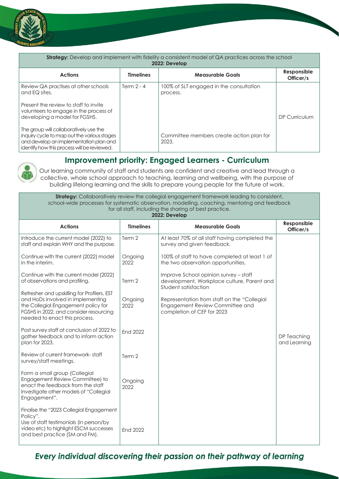

| <b>Strategy:</b> Develop and implement with fidelity a consistent model of QA practices across the school<br>2022: Develop                                                     |                  |                                                     |                          |  |
|--------------------------------------------------------------------------------------------------------------------------------------------------------------------------------|------------------|-----------------------------------------------------|--------------------------|--|
| <b>Actions</b>                                                                                                                                                                 | <b>Timelines</b> | <b>Measurable Goals</b>                             | Responsible<br>Officer/s |  |
| Review QA practises at other schools<br>and EQ sites.                                                                                                                          | Term $2 - 4$     | 100% of SLT engaged in the consultation<br>process. |                          |  |
| Present the review to staff to invite<br>volunteers to engage in the process of<br>developing a model for FGSHS.                                                               |                  |                                                     | DP Curriculum            |  |
| The group will collaboratively use the<br>inquiry cycle to map out the various stages<br>and develop an implementation plan and<br>identify how this process will be reviewed. |                  | Committee members create action plan for<br>2023.   |                          |  |

### **Improvement priority: Engaged Learners - Curriculum**

Our learning community of staff and students are confident and creative and lead through a collective, whole school approach to teaching, learning and wellbeing, with the purpose of building lifelong learning and the skills to prepare young people for the future of work.

**Strategy:** Collaboratively review the collegial engagement framework leading to consistent, school-wide processes for systematic observation, modelling, coaching, mentoring and feedback for all staff, including the sharing of best practice.

| 2022: Develop                                                                                                                                                                                      |                  |                                                                                                              |                             |  |
|----------------------------------------------------------------------------------------------------------------------------------------------------------------------------------------------------|------------------|--------------------------------------------------------------------------------------------------------------|-----------------------------|--|
| <b>Actions</b>                                                                                                                                                                                     | <b>Timelines</b> | <b>Measurable Goals</b>                                                                                      | Responsible<br>Officer/s    |  |
| Introduce the current model (2022) to<br>staff and explain WHY and the purpose.                                                                                                                    | Term 2           | At least 70% of all staff having completed the<br>survey and given feedback.                                 |                             |  |
| Continue with the current (2022) model<br>in the interim.                                                                                                                                          | Ongoing<br>2022  | 100% of staff to have completed at least 1 of<br>the two observation opportunities.                          |                             |  |
| Continue with the current model (2022)<br>of observations and profiling.                                                                                                                           | Term 2           | Improve School opinion survey - staff<br>development, Workplace culture, Parent and<br>Student satisfaction  |                             |  |
| Refresher and upskilling for Profilers, EST<br>and HoDs involved in implementing<br>the Collegial Engagement policy for<br>FGSHS in 2022, and consider resourcing<br>needed to enact this process. | Ongoing<br>2022  | Representation from staff on the "Collegial<br>Engagement Review Committee and<br>completion of CEF for 2023 |                             |  |
| Post survey staff at conclusion of 2022 to<br>gather feedback and to inform action<br>plan for 2023.                                                                                               | <b>End 2022</b>  |                                                                                                              | DP Teaching<br>and Learning |  |
| Review of current framework-staff<br>survey/staff meetings.                                                                                                                                        | Term 2           |                                                                                                              |                             |  |
| Form a small group (Collegial<br>Engagement Review Committee) to<br>enact the feedback from the staff<br>Investigate other models of "Collegial<br>Engagement".                                    | Ongoing<br>2022  |                                                                                                              |                             |  |
| Finalise the "2023 Collegial Engagement<br>Policy".<br>Use of staff testimonials (in person/by<br>video etc) to highlight ESCM successes<br>and best practice (SM and FM).                         | <b>End 2022</b>  |                                                                                                              |                             |  |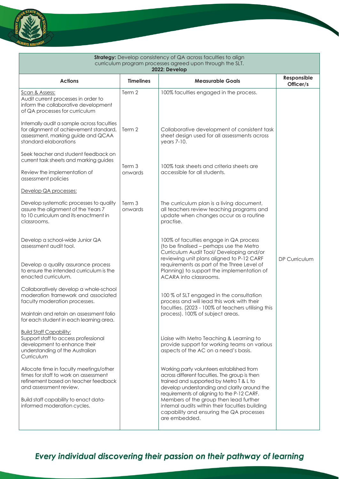

| <b>Strategy:</b> Develop consistency of QA across faculties to align<br>curriculum program processes agreed upon through the SLT.<br>2022: Develop                                                                         |                   |                                                                                                                                                                                                                                                                                                                                                                                               |                          |
|----------------------------------------------------------------------------------------------------------------------------------------------------------------------------------------------------------------------------|-------------------|-----------------------------------------------------------------------------------------------------------------------------------------------------------------------------------------------------------------------------------------------------------------------------------------------------------------------------------------------------------------------------------------------|--------------------------|
| <b>Actions</b>                                                                                                                                                                                                             | <b>Timelines</b>  | <b>Measurable Goals</b>                                                                                                                                                                                                                                                                                                                                                                       | Responsible<br>Officer/s |
| Scan & Assess:<br>Audit current processes in order to<br>inform the collaborative development<br>of QA processes for curriculum                                                                                            | Term 2            | 100% faculties engaged in the process.                                                                                                                                                                                                                                                                                                                                                        |                          |
| Internally audit a sample across faculties<br>for alignment of achievement standard,<br>assessment, marking guide and QCAA<br>standard elaborations                                                                        | Term 2            | Collaborative development of consistent task<br>sheet design used for all assessments across<br>$years 7-10.$                                                                                                                                                                                                                                                                                 |                          |
| Seek teacher and student feedback on<br>current task sheets and marking guides                                                                                                                                             |                   |                                                                                                                                                                                                                                                                                                                                                                                               |                          |
| Review the implementation of<br>assessment policies                                                                                                                                                                        | Term 3<br>onwards | 100% task sheets and criteria sheets are<br>accessible for all students.                                                                                                                                                                                                                                                                                                                      |                          |
| Develop QA processes:                                                                                                                                                                                                      |                   |                                                                                                                                                                                                                                                                                                                                                                                               |                          |
| Develop systematic processes to quality<br>assure the alignment of the Years 7<br>to 10 curriculum and its enactment in<br>classrooms.                                                                                     | Term 3<br>onwards | The curriculum plan is a living document,<br>all teachers review teaching programs and<br>update when changes occur as a routine<br>practise.                                                                                                                                                                                                                                                 |                          |
| Develop a school-wide Junior QA<br>assessment audit tool.<br>Develop a quality assurance process<br>to ensure the intended curriculum is the                                                                               |                   | 100% of faculties engage in QA process<br>(to be finalised - perhaps use the Metro<br>Curriculum Audit Tool/ Developing and/or<br>reviewing unit plans aligned to P-12 CARF<br>requirements as part of the Three Level of<br>Planning) to support the implementation of                                                                                                                       | DP Curriculum            |
| enacted curriculum.                                                                                                                                                                                                        |                   | ACARA into classrooms.                                                                                                                                                                                                                                                                                                                                                                        |                          |
| Collaboratively develop a whole-school<br>moderation framework and associated<br>faculty moderation processes.                                                                                                             |                   | 100 % of SLT engaged in the consultation<br>process and will lead this work with their<br>faculties. (2023 - 100% of teachers utilising this                                                                                                                                                                                                                                                  |                          |
| Maintain and retain an assessment folio<br>for each student in each learning area.                                                                                                                                         |                   | process). 100% of subject areas.                                                                                                                                                                                                                                                                                                                                                              |                          |
| <b>Build Staff Capability:</b><br>Support staff to access professional<br>development to enhance their<br>understanding of the Australian<br>Curriculum                                                                    |                   | Liaise with Metro Teaching & Learning to<br>provide support for working teams on various<br>aspects of the AC on a need's basis.                                                                                                                                                                                                                                                              |                          |
| Allocate time in faculty meetings/other<br>times for staff to work on assessment<br>refinement based on teacher feedback<br>and assessment review.<br>Build staff capability to enact data-<br>informed moderation cycles. |                   | Working party volunteers established from<br>across different faculties. The group is then<br>trained and supported by Metro T & L to<br>develop understanding and clarity around the<br>requirements of aligning to the P-12 CARF.<br>Members of the group then lead further<br>internal audits within their faculties building<br>capability and ensuring the QA processes<br>are embedded. |                          |
|                                                                                                                                                                                                                            |                   |                                                                                                                                                                                                                                                                                                                                                                                               |                          |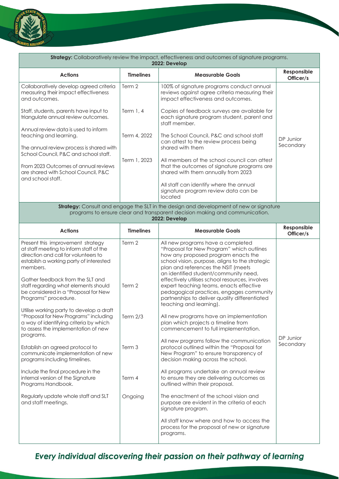

| Strategy: Collaboratively review the impact, effectiveness and outcomes of signature programs.<br>2022: Develop                                                                                                 |                  |                                                                                                                                                                                                                                                                                                             |                          |
|-----------------------------------------------------------------------------------------------------------------------------------------------------------------------------------------------------------------|------------------|-------------------------------------------------------------------------------------------------------------------------------------------------------------------------------------------------------------------------------------------------------------------------------------------------------------|--------------------------|
| <b>Actions</b>                                                                                                                                                                                                  | <b>Timelines</b> | <b>Measurable Goals</b>                                                                                                                                                                                                                                                                                     | Responsible<br>Officer/s |
| Collaboratively develop agreed criteria<br>measuring their impact effectiveness<br>and outcomes.                                                                                                                | Term 2           | 100% of signature programs conduct annual<br>reviews against agree criteria measuring their<br>impact effectiveness and outcomes.                                                                                                                                                                           |                          |
| Staff, students, parents have input to<br>triangulate annual review outcomes.                                                                                                                                   | Term 1, 4        | Copies of feedback surveys are available for<br>each signature program student, parent and<br>staff member.                                                                                                                                                                                                 |                          |
| Annual review data is used to inform<br>teaching and learning.<br>The annual review process is shared with                                                                                                      | Term 4, 2022     | The School Council, P&C and school staff<br>can attest to the review process being<br>shared with them                                                                                                                                                                                                      | DP Junior<br>Secondary   |
| School Council, P&C and school staff.<br>From 2023 Outcomes of annual reviews<br>are shared with School Council, P&C<br>and school staff.                                                                       | Term 1, 2023     | All members of the school council can attest<br>that the outcomes of signature programs are<br>shared with them annually from 2023<br>All staff can identify where the annual                                                                                                                               |                          |
|                                                                                                                                                                                                                 |                  | signature program review data can be<br>located                                                                                                                                                                                                                                                             |                          |
|                                                                                                                                                                                                                 |                  | <b>Strategy:</b> Consult and engage the SLT in the design and development of new or signature<br>programs to ensure clear and transparent decision making and communication.                                                                                                                                |                          |
|                                                                                                                                                                                                                 |                  | 2022: Develop                                                                                                                                                                                                                                                                                               |                          |
| <b>Actions</b>                                                                                                                                                                                                  | <b>Timelines</b> | <b>Measurable Goals</b>                                                                                                                                                                                                                                                                                     | Responsible<br>Officer/s |
| Present this improvement strategy<br>at staff meeting to inform staff of the<br>direction and call for volunteers to<br>establish a working party of interested<br>members.<br>Gather feedback from the SLT and | Term 2           | All new programs have a completed<br>"Proposal for New Program" which outlines<br>how any proposed program enacts the<br>school vision, purpose, aligns to the strategic<br>plan and references the NSIT (meets<br>an identified student/community need,<br>effectively utilises school resources, involves |                          |
| staff regarding what elements should<br>be considered in a "Proposal for New<br>Programs" procedure.                                                                                                            | Term 2           | expert teaching teams, enacts effective<br>pedagogical practices, engages community<br>partnerships to deliver quality differentiated<br>teaching and learning).                                                                                                                                            |                          |
| Utilise working party to develop a draft<br>"Proposal for New Programs" including<br>a way of identifying criteria by which<br>to assess the implementation of new<br>programs.                                 | Term $2/3$       | All new programs have an implementation<br>plan which projects a timeline from<br>commencement to full implementation.                                                                                                                                                                                      |                          |
| Establish an agreed protocol to<br>communicate implementation of new<br>programs including timelines.                                                                                                           | Term 3           | All new programs follow the communication<br>protocol outlined within the "Proposal for<br>New Program" to ensure transparency of<br>decision making across the school.                                                                                                                                     | DP Junior<br>Secondary   |
| Include the final procedure in the<br>internal version of the Signature<br>Programs Handbook.                                                                                                                   | Term 4           | All programs undertake an annual review<br>to ensure they are delivering outcomes as<br>outlined within their proposal.                                                                                                                                                                                     |                          |
| Regularly update whole staff and SLT<br>and staff meetings.                                                                                                                                                     | Ongoing          | The enactment of the school vision and<br>purpose are evident in the criteria of each<br>signature program.                                                                                                                                                                                                 |                          |
|                                                                                                                                                                                                                 |                  | All staff know where and how to access the<br>process for the proposal of new or signature<br>programs.                                                                                                                                                                                                     |                          |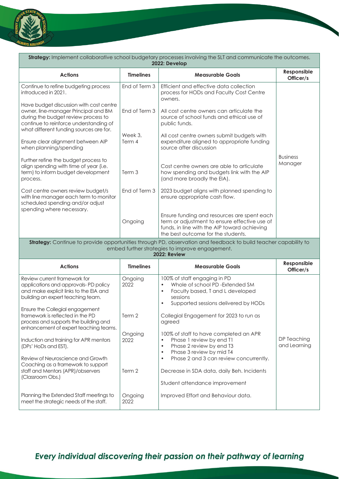

| <b>Strategy:</b> Implement collaborative school budgetary processes involving the SLT and communicate the outcomes.<br>2022: Develop                                                                        |                   |                                                                                                                                                                                           |                             |  |
|-------------------------------------------------------------------------------------------------------------------------------------------------------------------------------------------------------------|-------------------|-------------------------------------------------------------------------------------------------------------------------------------------------------------------------------------------|-----------------------------|--|
| <b>Actions</b>                                                                                                                                                                                              | <b>Timelines</b>  | <b>Measurable Goals</b>                                                                                                                                                                   | Responsible<br>Officer/s    |  |
| Continue to refine budgeting process<br>introduced in 2021.                                                                                                                                                 | End of Term 3     | Efficient and effective data collection<br>process for HODs and Faculty Cost Centre<br>owners.                                                                                            |                             |  |
| Have budget discussion with cost centre<br>owner, line-manager Principal and BM<br>during the budget review process to<br>continue to reinforce understanding of<br>what different funding sources are for. | End of Term 3     | All cost centre owners can articulate the<br>source of school funds and ethical use of<br>public funds.                                                                                   |                             |  |
| Ensure clear alignment between AIP<br>when planning/spending                                                                                                                                                | Week 3,<br>Term 4 | All cost centre owners submit budgets with<br>expenditure aligned to appropriate funding<br>source after discussion                                                                       |                             |  |
| Further refine the budget process to<br>align spending with time of year (i.e.<br>term) to inform budget development<br>process.                                                                            | Term 3            | Cost centre owners are able to articulate<br>how spending and budgets link with the AIP<br>(and more broadly the EIA).                                                                    | <b>Business</b><br>Manager  |  |
| Cost centre owners review budget/s<br>with line manager each term to monitor<br>scheduled spending and/or adjust<br>spending where necessary.                                                               | End of Term 3     | 2023 budget aligns with planned spending to<br>ensure appropriate cash flow.                                                                                                              |                             |  |
|                                                                                                                                                                                                             | Ongoing           | Ensure funding and resources are spent each<br>term or adjustment to ensure effective use of<br>funds, in line with the AIP toward achieving<br>the best outcome for the students.        |                             |  |
|                                                                                                                                                                                                             |                   | Strategy: Continue to provide opportunities through PD, observation and feedback to build teacher capability to<br>embed further strategies to improve engagement.<br><b>2022: Review</b> |                             |  |
| <b>Actions</b>                                                                                                                                                                                              | <b>Timelines</b>  | <b>Measurable Goals</b>                                                                                                                                                                   | Responsible<br>Officer/s    |  |
| Review current framework for<br>applications and approvals-PD policy<br>and make explicit links to the EIA and<br>building an expert teaching team.                                                         | Ongoing<br>2022   | 100% of staff engaging in PD<br>Whole of school PD -Extended SM<br>Faculty based, T and L developed<br>$\bullet$<br>sessions<br>Supported sessions delivered by HODs<br>$\bullet$         |                             |  |
| Ensure the Collegial engagement<br>framework is reflected in the PD<br>process and supports the building and<br>enhancement of expert teaching teams.                                                       | Term 2            | Collegial Engagement for 2023 to run as<br>agreed                                                                                                                                         |                             |  |
| Induction and training for APR mentors<br>(DPs' HoDs and EST).                                                                                                                                              | Ongoing<br>2022   | 100% of staff to have completed an APR<br>Phase 1 review by end T1<br>$\bullet$<br>Phase 2 review by end T3<br>$\bullet$<br>Phase 3 review by mid T4<br>$\bullet$                         | DP Teaching<br>and Learning |  |
| Review of Neuroscience and Growth<br>Coaching as a framework to support<br>staff and Mentors (APR)/observers<br>(Classroom Obs.)                                                                            | Term 2            | Phase 2 and 3 can review concurrently.<br>$\bullet$<br>Decrease in SDA data, daily Beh. Incidents                                                                                         |                             |  |
|                                                                                                                                                                                                             |                   | Student attendance improvement                                                                                                                                                            |                             |  |
| Planning the Extended Staff meetings to<br>meet the strategic needs of the staff.                                                                                                                           | Ongoing<br>2022   | Improved Effort and Behaviour data.                                                                                                                                                       |                             |  |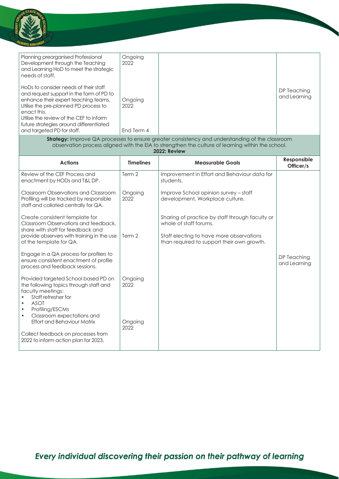

| Planning preorganised Professional<br>Development through the Teaching<br>and Learning HoD to meet the strategic<br>needs of staff.                                                                                                                                     | Ongoing<br>2022 |                             |
|-------------------------------------------------------------------------------------------------------------------------------------------------------------------------------------------------------------------------------------------------------------------------|-----------------|-----------------------------|
| HoDs to consider needs of their staff<br>and request support in the form of PD to<br>enhance their expert teaching teams.<br>Utilise the pre-planned PD process to<br>enact this.<br>Utilise the review of the CEF to inform<br>future strategies around differentiated | Ongoing<br>2022 | DP Teaching<br>and Learning |
| and targeted PD for staff.                                                                                                                                                                                                                                              | End Term 4      |                             |

**Strategy:** Improve QA processes to ensure greater consistency and understanding of the classroom observation process aligned with the EIA to strengthen the culture of learning within the school. **2022: Review**

| <b>Actions</b>                                                                                                                                                                                                       | <b>Timelines</b> | <b>Measurable Goals</b>                                                                | Responsible<br>Officer/s    |
|----------------------------------------------------------------------------------------------------------------------------------------------------------------------------------------------------------------------|------------------|----------------------------------------------------------------------------------------|-----------------------------|
| Review of the CEF Process and<br>enactment by HODs and T&L DP.                                                                                                                                                       | Term 2           | Improvement in Effort and Behaviour data for<br>students.                              |                             |
| Classroom Observations and Classroom<br>Profiling will be tracked by responsible<br>staff and collated centrally for QA.                                                                                             | Ongoing<br>2022  | Improve School opinion survey – staff<br>development, Workplace culture.               |                             |
| Create consistent template for<br>Classroom Observations and feedback,<br>share with staff for feedback and                                                                                                          |                  | Sharing of practice by staff through faculty or<br>whole of staff forums.              |                             |
| provide observers with training in the use<br>of the template for QA.                                                                                                                                                | Term 2           | Staff electing to have more observations<br>than required to support their own growth. |                             |
| Engage in a QA process for profilers to<br>ensure consistent enactment of profile<br>process and feedback sessions.                                                                                                  |                  |                                                                                        | DP Teaching<br>and Learning |
| Provided targeted School based PD on<br>the following topics through staff and<br>faculty meetings:<br>Staff refresher for<br><b>ASOT</b><br>$\bullet$<br>Profiling/ESCMs<br>Classroom expectations and<br>$\bullet$ | Ongoing<br>2022  |                                                                                        |                             |
| <b>Effort and Behaviour Matrix</b><br>Collect feedback on processes from<br>2022 to inform action plan for 2023.                                                                                                     | Ongoing<br>2022  |                                                                                        |                             |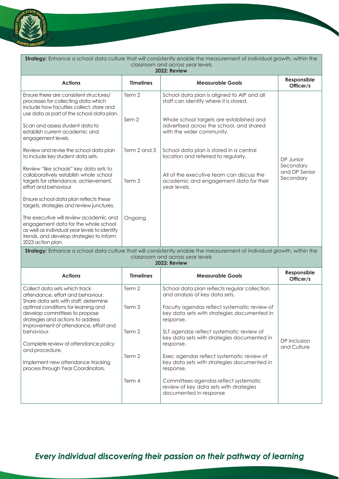

| Strategy: Enhance a school data culture that will consistently enable the measurement of individual growth, within the<br>classroom and across year levels<br><b>2022: Review</b>                                                                                                                                                         |                                      |                                                                                                                                                                                                                                                                                                                                                 |                             |  |
|-------------------------------------------------------------------------------------------------------------------------------------------------------------------------------------------------------------------------------------------------------------------------------------------------------------------------------------------|--------------------------------------|-------------------------------------------------------------------------------------------------------------------------------------------------------------------------------------------------------------------------------------------------------------------------------------------------------------------------------------------------|-----------------------------|--|
| <b>Actions</b>                                                                                                                                                                                                                                                                                                                            | <b>Timelines</b>                     | <b>Measurable Goals</b>                                                                                                                                                                                                                                                                                                                         | Responsible<br>Officer/s    |  |
| Ensure there are consistent structures/<br>processes for collecting data which<br>include how faculties collect, store and<br>use data as part of the school data plan.<br>Scan and assess student data to<br>establish current academic and<br>engagement levels.                                                                        | Term 2<br>Sem <sub>2</sub>           | School data plan is aligned to AIP and all<br>staff can identify where it is stored.<br>Whole school targets are established and<br>advertised across the school, and shared<br>with the wider community.                                                                                                                                       |                             |  |
| Review and revise the school data plan<br>to include key student data sets.                                                                                                                                                                                                                                                               | Term 2 and 3                         | School data plan is stored in a central<br>location and referred to regularly.                                                                                                                                                                                                                                                                  | DP Junior<br>Secondary      |  |
| Review "like schools" key data sets to<br>collaboratively establish whole school<br>targets for attendance, achievement,<br>effort and behaviour.                                                                                                                                                                                         | Term 3                               | All of the executive team can discuss the<br>academic and engagement data for their<br>year levels.                                                                                                                                                                                                                                             | and DP Senior<br>Secondary  |  |
| Ensure school data plan reflects these<br>targets, strategies and review junctures.                                                                                                                                                                                                                                                       |                                      |                                                                                                                                                                                                                                                                                                                                                 |                             |  |
| The executive will review academic and<br>engagement data for the whole school<br>as well as individual year levels to identify<br>trends, and develop strategies to inform<br>2023 action plan.                                                                                                                                          | Ongoing                              |                                                                                                                                                                                                                                                                                                                                                 |                             |  |
|                                                                                                                                                                                                                                                                                                                                           |                                      | Strategy: Enhance a school data culture that will consistently enable the measurement of individual growth, within the<br>classroom and across year levels<br><b>2022: Review</b>                                                                                                                                                               |                             |  |
| <b>Actions</b>                                                                                                                                                                                                                                                                                                                            | <b>Timelines</b>                     | <b>Measurable Goals</b>                                                                                                                                                                                                                                                                                                                         | Responsible<br>Officer/s    |  |
| Collect data sets which track<br>attendance, effort and behaviour.<br>Share data sets with staff; determine<br>optimal conditions for learning and<br>develop committees to propose<br>strategies and actions to address<br>improvement of attendance, effort and<br>behaviour.<br>Complete review of attendance policy<br>and procedure. | Term 2<br>Term 3<br>Term 2<br>Term 2 | School data plan reflects regular collection<br>and analysis of key data sets.<br>Faculty agendas reflect systematic review of<br>key data sets with strategies documented in<br>response.<br>SLT agendas reflect systematic review of<br>key data sets with strategies documented in<br>response.<br>Exec agendas reflect systematic review of | DP Inclusion<br>and Culture |  |
| Implement new attendance tracking<br>process through Year Coordinators.                                                                                                                                                                                                                                                                   |                                      | key data sets with strategies documented in<br>response.                                                                                                                                                                                                                                                                                        |                             |  |
|                                                                                                                                                                                                                                                                                                                                           | Term 4                               | Committees agendas reflect systematic<br>review of key data sets with strategies<br>documented in response                                                                                                                                                                                                                                      |                             |  |